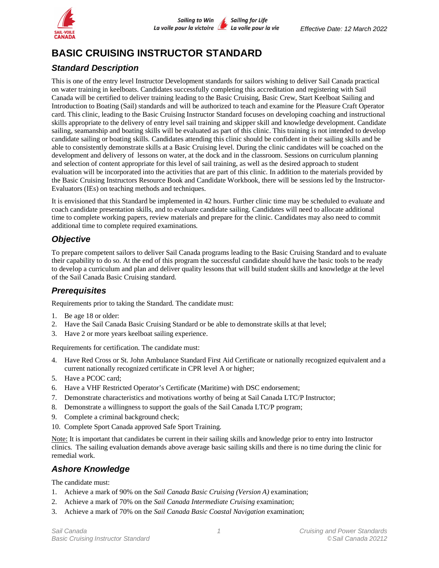

# **BASIC CRUISING INSTRUCTOR STANDARD**

### *Standard Description*

This is one of the entry level Instructor Development standards for sailors wishing to deliver Sail Canada practical on water training in keelboats. Candidates successfully completing this accreditation and registering with Sail Canada will be certified to deliver training leading to the Basic Cruising, Basic Crew, Start Keelboat Sailing and Introduction to Boating (Sail) standards and will be authorized to teach and examine for the Pleasure Craft Operator card. This clinic, leading to the Basic Cruising Instructor Standard focuses on developing coaching and instructional skills appropriate to the delivery of entry level sail training and skipper skill and knowledge development. Candidate sailing, seamanship and boating skills will be evaluated as part of this clinic. This training is not intended to develop candidate sailing or boating skills. Candidates attending this clinic should be confident in their sailing skills and be able to consistently demonstrate skills at a Basic Cruising level. During the clinic candidates will be coached on the development and delivery of lessons on water, at the dock and in the classroom. Sessions on curriculum planning and selection of content appropriate for this level of sail training, as well as the desired approach to student evaluation will be incorporated into the activities that are part of this clinic. In addition to the materials provided by the Basic Cruising Instructors Resource Book and Candidate Workbook, there will be sessions led by the Instructor-Evaluators (IEs) on teaching methods and techniques.

It is envisioned that this Standard be implemented in 42 hours. Further clinic time may be scheduled to evaluate and coach candidate presentation skills, and to evaluate candidate sailing. Candidates will need to allocate additional time to complete working papers, review materials and prepare for the clinic. Candidates may also need to commit additional time to complete required examinations.

### *Objective*

To prepare competent sailors to deliver Sail Canada programs leading to the Basic Cruising Standard and to evaluate their capability to do so. At the end of this program the successful candidate should have the basic tools to be ready to develop a curriculum and plan and deliver quality lessons that will build student skills and knowledge at the level of the Sail Canada Basic Cruising standard.

### *Prerequisites*

Requirements prior to taking the Standard. The candidate must:

- 1. Be age 18 or older:
- 2. Have the Sail Canada Basic Cruising Standard or be able to demonstrate skills at that level;
- 3. Have 2 or more years keelboat sailing experience.

Requirements for certification. The candidate must:

- 4. Have Red Cross or St. John Ambulance Standard First Aid Certificate or nationally recognized equivalent and a current nationally recognized certificate in CPR level A or higher;
- 5. Have a PCOC card;
- 6. Have a VHF Restricted Operator's Certificate (Maritime) with DSC endorsement;
- 7. Demonstrate characteristics and motivations worthy of being at Sail Canada LTC/P Instructor;
- 8. Demonstrate a willingness to support the goals of the Sail Canada LTC/P program;
- 9. Complete a criminal background check;
- 10. Complete Sport Canada approved Safe Sport Training.

Note: It is important that candidates be current in their sailing skills and knowledge prior to entry into Instructor clinics. The sailing evaluation demands above average basic sailing skills and there is no time during the clinic for remedial work.

### *Ashore Knowledge*

The candidate must:

- 1. Achieve a mark of 90% on the *Sail Canada Basic Cruising (Version A)* examination;
- 2. Achieve a mark of 70% on the *Sail Canada Intermediate Cruising* examination;
- 3. Achieve a mark of 70% on the *Sail Canada Basic Coastal Navigation* examination;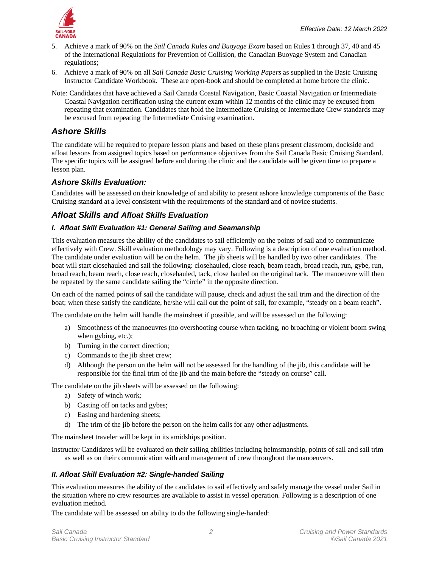

- 5. Achieve a mark of 90% on the *Sail Canada Rules and Buoyage Exam* based on Rules 1 through 37, 40 and 45 of the International Regulations for Prevention of Collision, the Canadian Buoyage System and Canadian regulations;
- 6. Achieve a mark of 90% on all *Sail Canada Basic Cruising Working Papers* as supplied in the Basic Cruising Instructor Candidate Workbook. These are open-book and should be completed at home before the clinic.
- Note: Candidates that have achieved a Sail Canada Coastal Navigation, Basic Coastal Navigation or Intermediate Coastal Navigation certification using the current exam within 12 months of the clinic may be excused from repeating that examination. Candidates that hold the Intermediate Cruising or Intermediate Crew standards may be excused from repeating the Intermediate Cruising examination.

### *Ashore Skills*

The candidate will be required to prepare lesson plans and based on these plans present classroom, dockside and afloat lessons from assigned topics based on performance objectives from the Sail Canada Basic Cruising Standard. The specific topics will be assigned before and during the clinic and the candidate will be given time to prepare a lesson plan.

#### *Ashore Skills Evaluation:*

Candidates will be assessed on their knowledge of and ability to present ashore knowledge components of the Basic Cruising standard at a level consistent with the requirements of the standard and of novice students.

### *Afloat Skills and Afloat Skills Evaluation*

#### *I. Afloat Skill Evaluation #1: General Sailing and Seamanship*

This evaluation measures the ability of the candidates to sail efficiently on the points of sail and to communicate effectively with Crew. Skill evaluation methodology may vary. Following is a description of one evaluation method. The candidate under evaluation will be on the helm. The jib sheets will be handled by two other candidates. The boat will start closehauled and sail the following: closehauled, close reach, beam reach, broad reach, run, gybe, run, broad reach, beam reach, close reach, closehauled, tack, close hauled on the original tack. The manoeuvre will then be repeated by the same candidate sailing the "circle" in the opposite direction.

On each of the named points of sail the candidate will pause, check and adjust the sail trim and the direction of the boat; when these satisfy the candidate, he/she will call out the point of sail, for example, "steady on a beam reach".

The candidate on the helm will handle the mainsheet if possible, and will be assessed on the following:

- a) Smoothness of the manoeuvres (no overshooting course when tacking, no broaching or violent boom swing when gybing, etc.);
- b) Turning in the correct direction;
- c) Commands to the jib sheet crew;
- d) Although the person on the helm will not be assessed for the handling of the jib, this candidate will be responsible for the final trim of the jib and the main before the "steady on course" call.

The candidate on the jib sheets will be assessed on the following:

- a) Safety of winch work;
- b) Casting off on tacks and gybes;
- c) Easing and hardening sheets;
- d) The trim of the jib before the person on the helm calls for any other adjustments.

The mainsheet traveler will be kept in its amidships position.

Instructor Candidates will be evaluated on their sailing abilities including helmsmanship, points of sail and sail trim as well as on their communication with and management of crew throughout the manoeuvers.

#### *II. Afloat Skill Evaluation #2: Single-handed Sailing*

This evaluation measures the ability of the candidates to sail effectively and safely manage the vessel under Sail in the situation where no crew resources are available to assist in vessel operation. Following is a description of one evaluation method.

The candidate will be assessed on ability to do the following single-handed: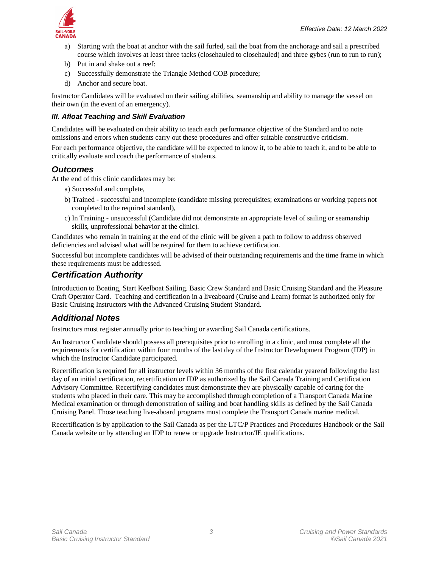- a) Starting with the boat at anchor with the sail furled, sail the boat from the anchorage and sail a prescribed course which involves at least three tacks (closehauled to closehauled) and three gybes (run to run to run);
- b) Put in and shake out a reef:
- c) Successfully demonstrate the Triangle Method COB procedure;
- d) Anchor and secure boat.

Instructor Candidates will be evaluated on their sailing abilities, seamanship and ability to manage the vessel on their own (in the event of an emergency).

#### *III. Afloat Teaching and Skill Evaluation*

Candidates will be evaluated on their ability to teach each performance objective of the Standard and to note omissions and errors when students carry out these procedures and offer suitable constructive criticism.

For each performance objective, the candidate will be expected to know it, to be able to teach it, and to be able to critically evaluate and coach the performance of students.

#### *Outcomes*

At the end of this clinic candidates may be:

- a) Successful and complete,
- b) Trained successful and incomplete (candidate missing prerequisites; examinations or working papers not completed to the required standard),
- c) In Training unsuccessful (Candidate did not demonstrate an appropriate level of sailing or seamanship skills, unprofessional behavior at the clinic).

Candidates who remain in training at the end of the clinic will be given a path to follow to address observed deficiencies and advised what will be required for them to achieve certification.

Successful but incomplete candidates will be advised of their outstanding requirements and the time frame in which these requirements must be addressed.

### *Certification Authority*

Introduction to Boating, Start Keelboat Sailing. Basic Crew Standard and Basic Cruising Standard and the Pleasure Craft Operator Card. Teaching and certification in a liveaboard (Cruise and Learn) format is authorized only for Basic Cruising Instructors with the Advanced Cruising Student Standard.

#### *Additional Notes*

Instructors must register annually prior to teaching or awarding Sail Canada certifications.

An Instructor Candidate should possess all prerequisites prior to enrolling in a clinic, and must complete all the requirements for certification within four months of the last day of the Instructor Development Program (IDP) in which the Instructor Candidate participated.

Recertification is required for all instructor levels within 36 months of the first calendar yearend following the last day of an initial certification, recertification or IDP as authorized by the Sail Canada Training and Certification Advisory Committee. Recertifying candidates must demonstrate they are physically capable of caring for the students who placed in their care. This may be accomplished through completion of a Transport Canada Marine Medical examination or through demonstration of sailing and boat handling skills as defined by the Sail Canada Cruising Panel. Those teaching live-aboard programs must complete the Transport Canada marine medical.

Recertification is by application to the Sail Canada as per the LTC/P Practices and Procedures Handbook or the Sail Canada website or by attending an IDP to renew or upgrade Instructor/IE qualifications.